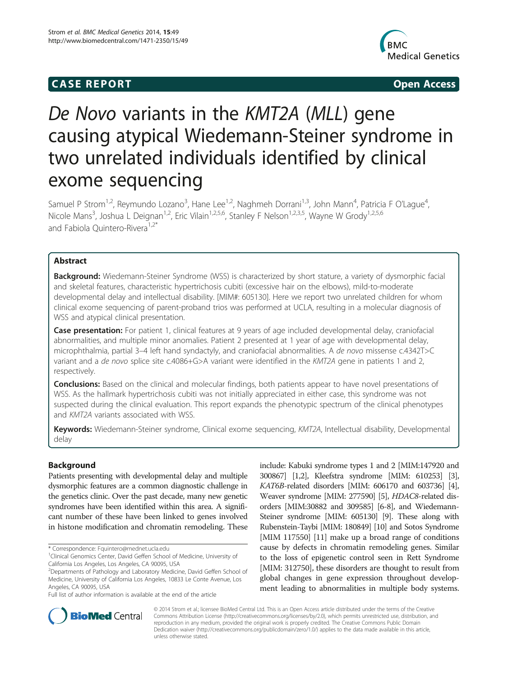# **CASE REPORT CASE REPORT**



# De Novo variants in the KMT2A (MLL) gene causing atypical Wiedemann-Steiner syndrome in two unrelated individuals identified by clinical exome sequencing

Samuel P Strom<sup>1,2</sup>, Reymundo Lozano<sup>3</sup>, Hane Lee<sup>1,2</sup>, Naghmeh Dorrani<sup>1,3</sup>, John Mann<sup>4</sup>, Patricia F O'Lague<sup>4</sup> , Nicole Mans<sup>3</sup>, Joshua L Deignan<sup>1,2</sup>, Eric Vilain<sup>1,2,5,6</sup>, Stanley F Nelson<sup>1,2,3,5</sup>, Wayne W Grody<sup>1,2,5,6</sup> and Fabiola Quintero-Rivera<sup>1,2\*</sup>

## Abstract

Background: Wiedemann-Steiner Syndrome (WSS) is characterized by short stature, a variety of dysmorphic facial and skeletal features, characteristic hypertrichosis cubiti (excessive hair on the elbows), mild-to-moderate developmental delay and intellectual disability. [MIM#: 605130]. Here we report two unrelated children for whom clinical exome sequencing of parent-proband trios was performed at UCLA, resulting in a molecular diagnosis of WSS and atypical clinical presentation.

Case presentation: For patient 1, clinical features at 9 years of age included developmental delay, craniofacial abnormalities, and multiple minor anomalies. Patient 2 presented at 1 year of age with developmental delay, microphthalmia, partial 3–4 left hand syndactyly, and craniofacial abnormalities. A de novo missense c.4342T>C variant and a *de novo splice site c.4086+G>A variant were identified in the KMT2A gene in patients 1 and 2,* respectively.

Conclusions: Based on the clinical and molecular findings, both patients appear to have novel presentations of WSS. As the hallmark hypertrichosis cubiti was not initially appreciated in either case, this syndrome was not suspected during the clinical evaluation. This report expands the phenotypic spectrum of the clinical phenotypes and KMT2A variants associated with WSS.

Keywords: Wiedemann-Steiner syndrome, Clinical exome sequencing, KMT2A, Intellectual disability, Developmental delay

## Background

Patients presenting with developmental delay and multiple dysmorphic features are a common diagnostic challenge in the genetics clinic. Over the past decade, many new genetic syndromes have been identified within this area. A significant number of these have been linked to genes involved in histone modification and chromatin remodeling. These

\* Correspondence: [Fquintero@mednet.ucla.edu](mailto:Fquintero@mednet.ucla.edu) <sup>1</sup>

include: Kabuki syndrome types 1 and 2 [MIM:147920 and 300867] [[1,2](#page-6-0)], Kleefstra syndrome [MIM: 610253] [[3](#page-6-0)], KAT6B-related disorders [MIM: 606170 and 603736] [[4](#page-6-0)], Weaver syndrome [MIM: 277590] [[5](#page-6-0)], HDAC8-related disorders [MIM:30882 and 309585] [[6](#page-6-0)-[8](#page-6-0)], and Wiedemann-Steiner syndrome [MIM: 605130] [\[9](#page-6-0)]. These along with Rubenstein-Taybi [MIM: 180849] [[10\]](#page-6-0) and Sotos Syndrome [MIM 117550] [[11\]](#page-6-0) make up a broad range of conditions cause by defects in chromatin remodeling genes. Similar to the loss of epigenetic control seen in Rett Syndrome [MIM: 312750], these disorders are thought to result from global changes in gene expression throughout development leading to abnormalities in multiple body systems.



© 2014 Strom et al.; licensee BioMed Central Ltd. This is an Open Access article distributed under the terms of the Creative Commons Attribution License [\(http://creativecommons.org/licenses/by/2.0\)](http://creativecommons.org/licenses/by/2.0), which permits unrestricted use, distribution, and reproduction in any medium, provided the original work is properly credited. The Creative Commons Public Domain Dedication waiver [\(http://creativecommons.org/publicdomain/zero/1.0/](http://creativecommons.org/publicdomain/zero/1.0/)) applies to the data made available in this article, unless otherwise stated.

<sup>&</sup>lt;sup>1</sup>Clinical Genomics Center, David Geffen School of Medicine, University of California Los Angeles, Los Angeles, CA 90095, USA

<sup>&</sup>lt;sup>2</sup>Departments of Pathology and Laboratory Medicine, David Geffen School of Medicine, University of California Los Angeles, 10833 Le Conte Avenue, Los Angeles, CA 90095, USA

Full list of author information is available at the end of the article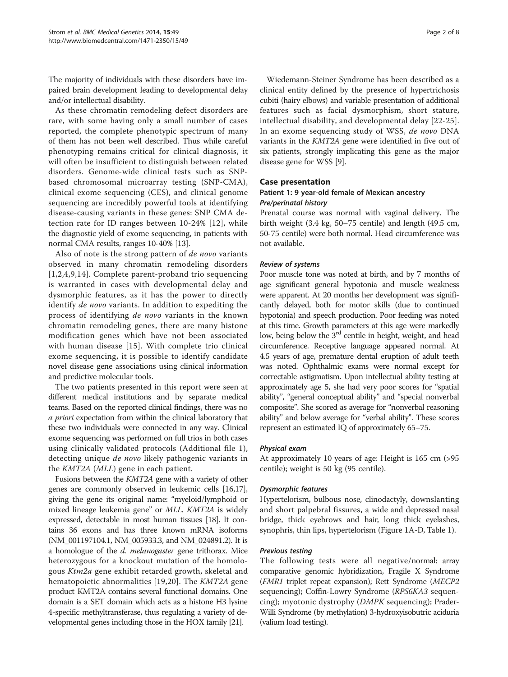The majority of individuals with these disorders have impaired brain development leading to developmental delay and/or intellectual disability.

As these chromatin remodeling defect disorders are rare, with some having only a small number of cases reported, the complete phenotypic spectrum of many of them has not been well described. Thus while careful phenotyping remains critical for clinical diagnosis, it will often be insufficient to distinguish between related disorders. Genome-wide clinical tests such as SNPbased chromosomal microarray testing (SNP-CMA), clinical exome sequencing (CES), and clinical genome sequencing are incredibly powerful tools at identifying disease-causing variants in these genes: SNP CMA detection rate for ID ranges between 10-24% [[12\]](#page-6-0), while the diagnostic yield of exome sequencing, in patients with normal CMA results, ranges 10-40% [\[13\]](#page-6-0).

Also of note is the strong pattern of de novo variants observed in many chromatin remodeling disorders [[1](#page-6-0),[2,4](#page-6-0),[9,14\]](#page-6-0). Complete parent-proband trio sequencing is warranted in cases with developmental delay and dysmorphic features, as it has the power to directly identify de novo variants. In addition to expediting the process of identifying de novo variants in the known chromatin remodeling genes, there are many histone modification genes which have not been associated with human disease [[15](#page-6-0)]. With complete trio clinical exome sequencing, it is possible to identify candidate novel disease gene associations using clinical information and predictive molecular tools.

The two patients presented in this report were seen at different medical institutions and by separate medical teams. Based on the reported clinical findings, there was no a priori expectation from within the clinical laboratory that these two individuals were connected in any way. Clinical exome sequencing was performed on full trios in both cases using clinically validated protocols (Additional file [1](#page-5-0)), detecting unique de novo likely pathogenic variants in the KMT2A (MLL) gene in each patient.

Fusions between the KMT2A gene with a variety of other genes are commonly observed in leukemic cells [\[16,17](#page-6-0)], giving the gene its original name: "myeloid/lymphoid or mixed lineage leukemia gene" or MLL. KMT2A is widely expressed, detectable in most human tissues [\[18](#page-7-0)]. It contains 36 exons and has three known mRNA isoforms (NM\_001197104.1, NM\_005933.3, and NM\_024891.2). It is a homologue of the *d. melanogaster* gene trithorax. Mice heterozygous for a knockout mutation of the homologous Ktm2a gene exhibit retarded growth, skeletal and hematopoietic abnormalities [[19,20\]](#page-7-0). The KMT2A gene product KMT2A contains several functional domains. One domain is a SET domain which acts as a histone H3 lysine 4-specific methyltransferase, thus regulating a variety of developmental genes including those in the HOX family [\[21\]](#page-7-0).

Wiedemann-Steiner Syndrome has been described as a clinical entity defined by the presence of hypertrichosis cubiti (hairy elbows) and variable presentation of additional features such as facial dysmorphism, short stature, intellectual disability, and developmental delay [[22](#page-7-0)-[25](#page-7-0)]. In an exome sequencing study of WSS, de novo DNA variants in the KMT2A gene were identified in five out of six patients, strongly implicating this gene as the major disease gene for WSS [\[9\]](#page-6-0).

## Case presentation

## Patient 1: 9 year-old female of Mexican ancestry Pre/perinatal history

Prenatal course was normal with vaginal delivery. The birth weight (3.4 kg, 50–75 centile) and length (49.5 cm, 50-75 centile) were both normal. Head circumference was not available.

#### Review of systems

Poor muscle tone was noted at birth, and by 7 months of age significant general hypotonia and muscle weakness were apparent. At 20 months her development was significantly delayed, both for motor skills (due to continued hypotonia) and speech production. Poor feeding was noted at this time. Growth parameters at this age were markedly low, being below the 3<sup>rd</sup> centile in height, weight, and head circumference. Receptive language appeared normal. At 4.5 years of age, premature dental eruption of adult teeth was noted. Ophthalmic exams were normal except for correctable astigmatism. Upon intellectual ability testing at approximately age 5, she had very poor scores for "spatial ability", "general conceptual ability" and "special nonverbal composite". She scored as average for "nonverbal reasoning ability" and below average for "verbal ability". These scores represent an estimated IQ of approximately 65–75.

#### Physical exam

At approximately 10 years of age: Height is 165 cm (>95 centile); weight is 50 kg (95 centile).

#### Dysmorphic features

Hypertelorism, bulbous nose, clinodactyly, downslanting and short palpebral fissures, a wide and depressed nasal bridge, thick eyebrows and hair, long thick eyelashes, synophris, thin lips, hypertelorism (Figure [1](#page-2-0)A-D, Table [1\)](#page-3-0).

#### Previous testing

The following tests were all negative/normal: array comparative genomic hybridization, Fragile X Syndrome (FMR1 triplet repeat expansion); Rett Syndrome (MECP2 sequencing); Coffin-Lowry Syndrome (RPS6KA3 sequencing); myotonic dystrophy (DMPK sequencing); Prader-Willi Syndrome (by methylation) 3-hydroxyisobutric aciduria (valium load testing).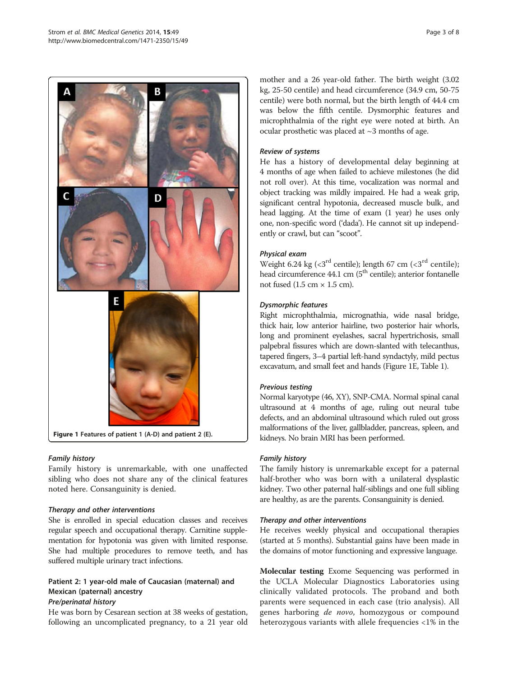<span id="page-2-0"></span>

## Family history

Family history is unremarkable, with one unaffected sibling who does not share any of the clinical features noted here. Consanguinity is denied.

## Therapy and other interventions

She is enrolled in special education classes and receives regular speech and occupational therapy. Carnitine supplementation for hypotonia was given with limited response. She had multiple procedures to remove teeth, and has suffered multiple urinary tract infections.

## Patient 2: 1 year-old male of Caucasian (maternal) and Mexican (paternal) ancestry Pre/perinatal history

He was born by Cesarean section at 38 weeks of gestation, following an uncomplicated pregnancy, to a 21 year old

mother and a 26 year-old father. The birth weight (3.02 kg, 25-50 centile) and head circumference (34.9 cm, 50-75 centile) were both normal, but the birth length of 44.4 cm was below the fifth centile. Dysmorphic features and microphthalmia of the right eye were noted at birth. An ocular prosthetic was placed at ~3 months of age.

## Review of systems

He has a history of developmental delay beginning at 4 months of age when failed to achieve milestones (he did not roll over). At this time, vocalization was normal and object tracking was mildly impaired. He had a weak grip, significant central hypotonia, decreased muscle bulk, and head lagging. At the time of exam (1 year) he uses only one, non-specific word ('dada'). He cannot sit up independently or crawl, but can "scoot".

## Physical exam

Weight 6.24 kg ( $\langle 3^{rd}$  centile); length 67 cm ( $\langle 3^{rd}$  centile); head circumference 44.1 cm (5<sup>th</sup> centile); anterior fontanelle not fused  $(1.5 \text{ cm} \times 1.5 \text{ cm})$ .

## Dysmorphic features

Right microphthalmia, micrognathia, wide nasal bridge, thick hair, low anterior hairline, two posterior hair whorls, long and prominent eyelashes, sacral hypertrichosis, small palpebral fissures which are down-slanted with telecanthus, tapered fingers, 3–4 partial left-hand syndactyly, mild pectus excavatum, and small feet and hands (Figure 1E, Table [1](#page-3-0)).

## Previous testing

Normal karyotype (46, XY), SNP-CMA. Normal spinal canal ultrasound at 4 months of age, ruling out neural tube defects, and an abdominal ultrasound which ruled out gross malformations of the liver, gallbladder, pancreas, spleen, and kidneys. No brain MRI has been performed.

## Family history

The family history is unremarkable except for a paternal half-brother who was born with a unilateral dysplastic kidney. Two other paternal half-siblings and one full sibling are healthy, as are the parents. Consanguinity is denied.

## Therapy and other interventions

He receives weekly physical and occupational therapies (started at 5 months). Substantial gains have been made in the domains of motor functioning and expressive language.

Molecular testing Exome Sequencing was performed in the UCLA Molecular Diagnostics Laboratories using clinically validated protocols. The proband and both parents were sequenced in each case (trio analysis). All genes harboring de novo, homozygous or compound heterozygous variants with allele frequencies <1% in the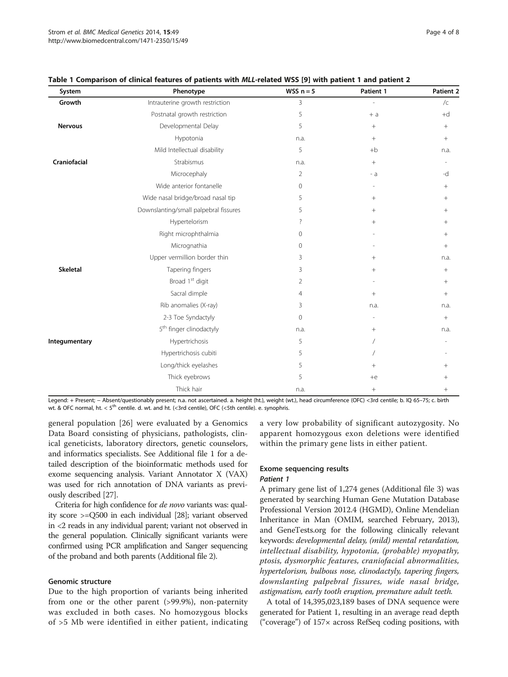| System          | Phenotype                             | WSS $n = 5$    | Patient 1 | Patient 2       |
|-----------------|---------------------------------------|----------------|-----------|-----------------|
| Growth          | Intrauterine growth restriction       | 3              | L,        | $\sqrt{C}$      |
|                 | Postnatal growth restriction          | 5              | $+ a$     | $+d$            |
| <b>Nervous</b>  | Developmental Delay                   | 5              | $^{+}$    | $\! + \!\!\!\!$ |
|                 | Hypotonia                             | n.a.           | $^{+}$    | $^{+}$          |
|                 | Mild Intellectual disability          | 5              | $+b$      | n.a.            |
| Craniofacial    | Strabismus                            | n.a.           | $+$       |                 |
|                 | Microcephaly                          | 2              | - a       | -d              |
|                 | Wide anterior fontanelle              | $\mathbf{0}$   |           | $^+$            |
|                 | Wide nasal bridge/broad nasal tip     | 5              | $^{+}$    | $^{+}$          |
|                 | Downslanting/small palpebral fissures | 5              | $^{+}$    | $+$             |
|                 | Hypertelorism                         | ?              | $^{+}$    | $^+$            |
|                 | Right microphthalmia                  | $\Omega$       |           | $^{+}$          |
|                 | Micrognathia                          | $\Omega$       |           | $\! + \!\!\!\!$ |
|                 | Upper vermillion border thin          | 3              | $^{+}$    | n.a.            |
| <b>Skeletal</b> | Tapering fingers                      | 3              | $^{+}$    | $^{+}$          |
|                 | Broad 1 <sup>st</sup> digit           | $\overline{2}$ |           | $^{+}$          |
|                 | Sacral dimple                         | $\overline{4}$ | $^{+}$    | $^{+}$          |
|                 | Rib anomalies (X-ray)                 | 3              | n.a.      | n.a.            |
|                 | 2-3 Toe Syndactyly                    | $\Omega$       |           | $^{+}$          |
|                 | 5 <sup>th</sup> finger clinodactyly   | n.a.           | $^{+}$    | n.a.            |
| Integumentary   | Hypertrichosis                        | 5              |           |                 |
|                 | Hypertrichosis cubiti                 | 5              |           |                 |
|                 | Long/thick eyelashes                  | 5              | $^{+}$    | $^{+}$          |
|                 | Thick eyebrows                        | 5              | $+e$      | $^{+}$          |
|                 | Thick hair                            | n.a.           | $^{+}$    | $^+$            |

<span id="page-3-0"></span>Table 1 Comparison of clinical features of patients with MLL-related WSS [\[9](#page-6-0)] with patient 1 and patient 2

Legend: + Present; − Absent/questionably present; n.a. not ascertained. a. height (ht.), weight (wt.), head circumference (OFC) <3rd centile; b. IQ 65–75; c. birth wt. & OFC normal, ht.  $< 5^{th}$  centile. d. wt. and ht. (<3rd centile), OFC (<5th centile). e. synophris.

general population [[26\]](#page-7-0) were evaluated by a Genomics Data Board consisting of physicians, pathologists, clinical geneticists, laboratory directors, genetic counselors, and informatics specialists. See Additional file [1](#page-5-0) for a detailed description of the bioinformatic methods used for exome sequencing analysis. Variant Annotator X (VAX) was used for rich annotation of DNA variants as previously described [[27](#page-7-0)].

Criteria for high confidence for de novo variants was: quality score >=Q500 in each individual [\[28\]](#page-7-0); variant observed in <2 reads in any individual parent; variant not observed in the general population. Clinically significant variants were confirmed using PCR amplification and Sanger sequencing of the proband and both parents (Additional file [2\)](#page-5-0).

#### Genomic structure

Due to the high proportion of variants being inherited from one or the other parent (>99.9%), non-paternity was excluded in both cases. No homozygous blocks of >5 Mb were identified in either patient, indicating

a very low probability of significant autozygosity. No apparent homozygous exon deletions were identified within the primary gene lists in either patient.

## Exome sequencing results

#### Patient 1

A primary gene list of 1,274 genes (Additional file [3](#page-5-0)) was generated by searching Human Gene Mutation Database Professional Version 2012.4 (HGMD), Online Mendelian Inheritance in Man (OMIM, searched February, 2013), and GeneTests.org for the following clinically relevant keywords: developmental delay, (mild) mental retardation, intellectual disability, hypotonia, (probable) myopathy, ptosis, dysmorphic features, craniofacial abnormalities, hypertelorism, bulbous nose, clinodactyly, tapering fingers, downslanting palpebral fissures, wide nasal bridge, astigmatism, early tooth eruption, premature adult teeth.

A total of 14,395,023,189 bases of DNA sequence were generated for Patient 1, resulting in an average read depth ("coverage") of 157× across RefSeq coding positions, with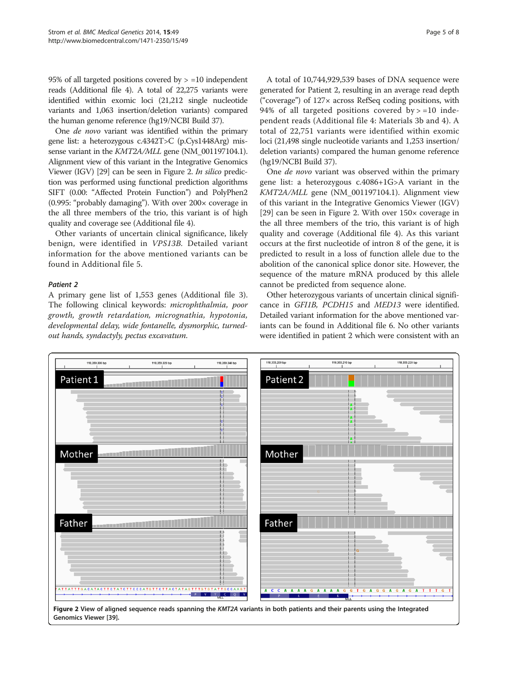95% of all targeted positions covered by  $> =10$  independent reads (Additional file [4\)](#page-6-0). A total of 22,275 variants were identified within exomic loci (21,212 single nucleotide variants and 1,063 insertion/deletion variants) compared the human genome reference (hg19/NCBI Build 37).

One de novo variant was identified within the primary gene list: a heterozygous c.4342T>C (p.Cys1448Arg) missense variant in the KMT2A/MLL gene (NM\_001197104.1). Alignment view of this variant in the Integrative Genomics Viewer (IGV) [\[29\]](#page-7-0) can be seen in Figure 2. In silico prediction was performed using functional prediction algorithms SIFT (0.00: "Affected Protein Function") and PolyPhen2 (0.995: "probably damaging"). With over 200× coverage in the all three members of the trio, this variant is of high quality and coverage see (Additional file [4\)](#page-6-0).

Other variants of uncertain clinical significance, likely benign, were identified in VPS13B. Detailed variant information for the above mentioned variants can be found in Additional file [5](#page-6-0).

#### Patient 2

A primary gene list of 1,553 genes (Additional file [3](#page-5-0)). The following clinical keywords: microphthalmia, poor growth, growth retardation, micrognathia, hypotonia, developmental delay, wide fontanelle, dysmorphic, turnedout hands, syndactyly, pectus excavatum.

A total of 10,744,929,539 bases of DNA sequence were generated for Patient 2, resulting in an average read depth ("coverage") of 127× across RefSeq coding positions, with 94% of all targeted positions covered by  $> =10$  independent reads (Additional file [4](#page-6-0): Materials 3b and 4). A total of 22,751 variants were identified within exomic loci (21,498 single nucleotide variants and 1,253 insertion/ deletion variants) compared the human genome reference (hg19/NCBI Build 37).

One de novo variant was observed within the primary gene list: a heterozygous c.4086+1G>A variant in the KMT2A/MLL gene (NM\_001197104.1). Alignment view of this variant in the Integrative Genomics Viewer (IGV) [[29\]](#page-7-0) can be seen in Figure 2. With over  $150\times$  coverage in the all three members of the trio, this variant is of high quality and coverage (Additional file [4](#page-6-0)). As this variant occurs at the first nucleotide of intron 8 of the gene, it is predicted to result in a loss of function allele due to the abolition of the canonical splice donor site. However, the sequence of the mature mRNA produced by this allele cannot be predicted from sequence alone.

Other heterozygous variants of uncertain clinical significance in GFI1B, PCDH15 and MED13 were identified. Detailed variant information for the above mentioned variants can be found in Additional file [6](#page-6-0). No other variants were identified in patient 2 which were consistent with an



Genomics Viewer [\[39\]](#page-7-0).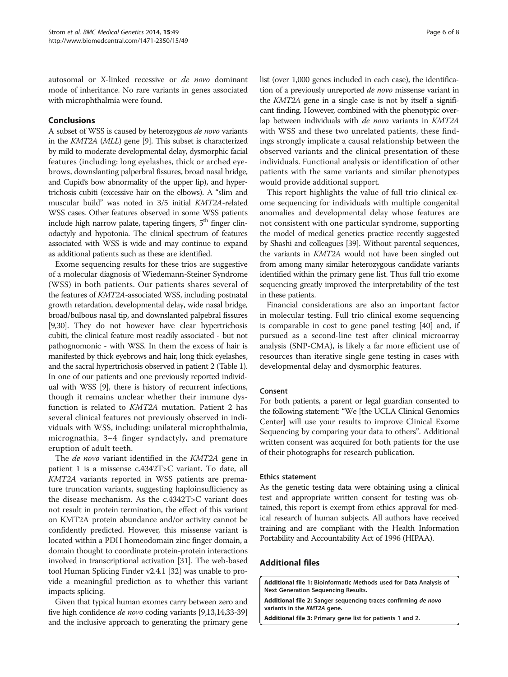<span id="page-5-0"></span>autosomal or X-linked recessive or de novo dominant mode of inheritance. No rare variants in genes associated with microphthalmia were found.

## Conclusions

A subset of WSS is caused by heterozygous de novo variants in the KMT2A (MLL) gene [[9](#page-6-0)]. This subset is characterized by mild to moderate developmental delay, dysmorphic facial features (including: long eyelashes, thick or arched eyebrows, downslanting palperbral fissures, broad nasal bridge, and Cupid's bow abnormality of the upper lip), and hypertrichosis cubiti (excessive hair on the elbows). A "slim and muscular build" was noted in 3/5 initial KMT2A-related WSS cases. Other features observed in some WSS patients include high narrow palate, tapering fingers,  $5<sup>th</sup>$  finger clinodactyly and hypotonia. The clinical spectrum of features associated with WSS is wide and may continue to expand as additional patients such as these are identified.

Exome sequencing results for these trios are suggestive of a molecular diagnosis of Wiedemann-Steiner Syndrome (WSS) in both patients. Our patients shares several of the features of KMT2A-associated WSS, including postnatal growth retardation, developmental delay, wide nasal bridge, broad/bulbous nasal tip, and downslanted palpebral fissures [[9](#page-6-0)[,30\]](#page-7-0). They do not however have clear hypertrichosis cubiti, the clinical feature most readily associated - but not pathognomonic - with WSS. In them the excess of hair is manifested by thick eyebrows and hair, long thick eyelashes, and the sacral hypertrichosis observed in patient 2 (Table [1](#page-3-0)). In one of our patients and one previously reported individual with WSS [\[9\]](#page-6-0), there is history of recurrent infections, though it remains unclear whether their immune dysfunction is related to KMT2A mutation. Patient 2 has several clinical features not previously observed in individuals with WSS, including: unilateral microphthalmia, micrognathia, 3–4 finger syndactyly, and premature eruption of adult teeth.

The *de novo* variant identified in the *KMT2A* gene in patient 1 is a missense c.4342T>C variant. To date, all KMT2A variants reported in WSS patients are premature truncation variants, suggesting haploinsufficiency as the disease mechanism. As the c.4342T>C variant does not result in protein termination, the effect of this variant on KMT2A protein abundance and/or activity cannot be confidently predicted. However, this missense variant is located within a PDH homeodomain zinc finger domain, a domain thought to coordinate protein-protein interactions involved in transcriptional activation [\[31\]](#page-7-0). The web-based tool Human Splicing Finder v2.4.1 [\[32\]](#page-7-0) was unable to provide a meaningful prediction as to whether this variant impacts splicing.

Given that typical human exomes carry between zero and five high confidence de novo coding variants [[9,13,14](#page-6-0)[,33-39](#page-7-0)] and the inclusive approach to generating the primary gene list (over 1,000 genes included in each case), the identification of a previously unreported de novo missense variant in the KMT2A gene in a single case is not by itself a significant finding. However, combined with the phenotypic overlap between individuals with de novo variants in KMT2A with WSS and these two unrelated patients, these findings strongly implicate a causal relationship between the observed variants and the clinical presentation of these individuals. Functional analysis or identification of other patients with the same variants and similar phenotypes would provide additional support.

This report highlights the value of full trio clinical exome sequencing for individuals with multiple congenital anomalies and developmental delay whose features are not consistent with one particular syndrome, supporting the model of medical genetics practice recently suggested by Shashi and colleagues [\[39\]](#page-7-0). Without parental sequences, the variants in KMT2A would not have been singled out from among many similar heterozygous candidate variants identified within the primary gene list. Thus full trio exome sequencing greatly improved the interpretability of the test in these patients.

Financial considerations are also an important factor in molecular testing. Full trio clinical exome sequencing is comparable in cost to gene panel testing [[40\]](#page-7-0) and, if pursued as a second-line test after clinical microarray analysis (SNP-CMA), is likely a far more efficient use of resources than iterative single gene testing in cases with developmental delay and dysmorphic features.

#### Consent

For both patients, a parent or legal guardian consented to the following statement: "We [the UCLA Clinical Genomics Center] will use your results to improve Clinical Exome Sequencing by comparing your data to others". Additional written consent was acquired for both patients for the use of their photographs for research publication.

#### Ethics statement

As the genetic testing data were obtaining using a clinical test and appropriate written consent for testing was obtained, this report is exempt from ethics approval for medical research of human subjects. All authors have received training and are compliant with the Health Information Portability and Accountability Act of 1996 (HIPAA).

## Additional files

[Additional file 1:](http://www.biomedcentral.com/content/supplementary/1471-2350-15-49-S1.doc) Bioinformatic Methods used for Data Analysis of Next Generation Sequencing Results.

[Additional file 2:](http://www.biomedcentral.com/content/supplementary/1471-2350-15-49-S2.png) Sanger sequencing traces confirming de novo variants in the KMT2A gene.

[Additional file 3:](http://www.biomedcentral.com/content/supplementary/1471-2350-15-49-S3.doc) Primary gene list for patients 1 and 2.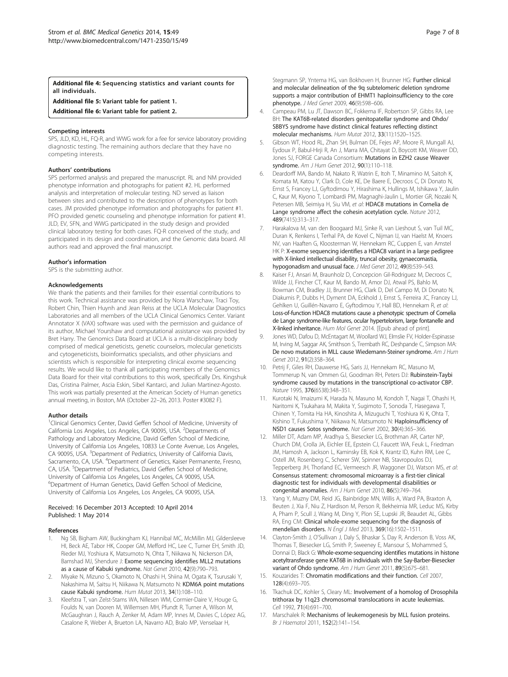<span id="page-6-0"></span>[Additional file 4:](http://www.biomedcentral.com/content/supplementary/1471-2350-15-49-S4.xlsx) Sequencing statistics and variant counts for all individuals.

[Additional file 5:](http://www.biomedcentral.com/content/supplementary/1471-2350-15-49-S5.xlsx) Variant table for patient 1.

[Additional file 6:](http://www.biomedcentral.com/content/supplementary/1471-2350-15-49-S6.xlsx) Variant table for patient 2.

#### Competing interests

SPS, JLD, KD, HL, FQ-R, and WWG work for a fee for service laboratory providing diagnostic testing. The remaining authors declare that they have no competing interests.

#### Authors' contributions

SPS performed analysis and prepared the manuscript. RL and NM provided phenotype information and photographs for patient #2. HL performed analysis and interpretation of molecular testing. ND served as liaison between sites and contributed to the description of phenotypes for both cases. JM provided phenotype information and photographs for patient #1. PFO provided genetic counseling and phenotype information for patient #1. JLD, EV, SFN, and WWG participated in the study design and provided clinical laboratory testing for both cases. FQ-R conceived of the study, and participated in its design and coordination, and the Genomic data board. All authors read and approved the final manuscript.

#### Author's information

SPS is the submitting author.

#### Acknowledgements

We thank the patients and their families for their essential contributions to this work. Technical assistance was provided by Nora Warschaw, Traci Toy, Robert Chin, Thien Huynh and Jean Reiss at the UCLA Molecular Diagnostics Laboratories and all members of the UCLA Clinical Genomics Center. Variant Annotator X (VAX) software was used with the permission and guidance of its author, Michael Yourshaw and computational assistance was provided by Bret Harry. The Genomics Data Board at UCLA is a multi-disciplinary body comprised of medical geneticists, genetic counselors, molecular geneticists and cytogeneticists, bioinformatics specialists, and other physicians and scientists which is responsible for interpreting clinical exome sequencing results. We would like to thank all participating members of the Genomics Data Board for their vital contributions to this work, specifically Drs. Kingshuk Das, Cristina Palmer, Ascia Eskin, Sibel Kantarci, and Julian Martinez-Agosto. This work was partially presented at the American Society of Human genetics annual meeting, in Boston, MA (October 22–26, 2013. Poster #3082 F).

#### Author details

<sup>1</sup>Clinical Genomics Center, David Geffen School of Medicine, University of California Los Angeles, Los Angeles, CA 90095, USA. <sup>2</sup>Departments of Pathology and Laboratory Medicine, David Geffen School of Medicine, University of California Los Angeles, 10833 Le Conte Avenue, Los Angeles, CA 90095, USA. <sup>3</sup>Department of Pediatrics, University of California Davis, Sacramento, CA, USA. <sup>4</sup>Department of Genetics, Kaiser Permanente, Fresno, CA, USA. <sup>5</sup>Department of Pediatrics, David Geffen School of Medicine, University of California Los Angeles, Los Angeles, CA 90095, USA. 6 Department of Human Genetics, David Geffen School of Medicine, University of California Los Angeles, Los Angeles, CA 90095, USA.

#### Received: 16 December 2013 Accepted: 10 April 2014 Published: 1 May 2014

#### References

- 1. Ng SB, Bigham AW, Buckingham KJ, Hannibal MC, McMillin MJ, Gildersleeve HI, Beck AE, Tabor HK, Cooper GM, Mefford HC, Lee C, Turner EH, Smith JD, Rieder MJ, Yoshiura K, Matsumoto N, Ohta T, Niikawa N, Nickerson DA, Bamshad MJ, Shendure J: Exome sequencing identifies MLL2 mutations as a cause of Kabuki syndrome. Nat Genet 2010, 42(9):790–793.
- 2. Miyake N, Mizuno S, Okamoto N, Ohashi H, Shiina M, Ogata K, Tsurusaki Y, Nakashima M, Saitsu H, Niikawa N, Matsumoto N: KDM6A point mutations cause Kabuki syndrome. Hum Mutat 2013, 34(1):108–110.
- 3. Kleefstra T, van Zelst-Stams WA, Nillesen WM, Cormier-Daire V, Houge G, Foulds N, van Dooren M, Willemsen MH, Pfundt R, Turner A, Wilson M, McGaughran J, Rauch A, Zenker M, Adam MP, Innes M, Davies C, López AG, Casalone R, Weber A, Brueton LA, Navarro AD, Bralo MP, Venselaar H,

Stegmann SP, Yntema HG, van Bokhoven H, Brunner HG: Further clinical and molecular delineation of the 9q subtelomeric deletion syndrome supports a major contribution of EHMT1 haploinsufficiency to the core phenotype. J Med Genet 2009, 46(9):598–606.

- 4. Campeau PM, Lu JT, Dawson BC, Fokkema IF, Robertson SP, Gibbs RA, Lee BH: The KAT6B-related disorders genitopatellar syndrome and Ohdo/ SBBYS syndrome have distinct clinical features reflecting distinct molecular mechanisms. Hum Mutat 2012, 33(11):1520–1525.
- 5. Gibson WT, Hood RL, Zhan SH, Bulman DE, Fejes AP, Moore R, Mungall AJ, Eydoux P, Babul-Hirji R, An J, Marra MA, Chitayat D, Boycott KM, Weaver DD, Jones SJ, FORGE Canada Consortium: Mutations in EZH2 cause Weaver syndrome. Am J Hum Genet 2012, 90(1):110-118.
- Deardorff MA, Bando M, Nakato R, Watrin E, Itoh T, Minamino M, Saitoh K, Komata M, Katou Y, Clark D, Cole KE, De Baere E, Decroos C, Di Donato N, Ernst S, Francey LJ, Gyftodimou Y, Hirashima K, Hullings M, Ishikawa Y, Jaulin C, Kaur M, Kiyono T, Lombardi PM, Magnaghi-Jaulin L, Mortier GR, Nozaki N, Petersen MB, Seimiya H, Siu VM, et al: HDAC8 mutations in Cornelia de Lange syndrome affect the cohesin acetylation cycle. Nature 2012, 489(7415):313–317.
- 7. Harakalova M, van den Boogaard MJ, Sinke R, van Lieshout S, van Tuil MC, Duran K, Renkens I, Terhal PA, de Kovel C, Nijman IJ, van Haelst M, Knoers NV, van Haaften G, Kloosterman W, Hennekam RC, Cuppen E, van Amstel HK P: X-exome sequencing identifies a HDAC8 variant in a large pedigree with X-linked intellectual disability, truncal obesity, gynaecomastia, hypogonadism and unusual face. J Med Genet 2012, 49(8):539–543.
- 8. Kaiser FJ, Ansari M, Braunholz D, Concepcion Gil-Rodriguez M, Decroos C, Wilde JJ, Fincher CT, Kaur M, Bando M, Amor DJ, Atwal PS, Bahlo M, Bowman CM, Bradley JJ, Brunner HG, Clark D, Del Campo M, Di Donato N, Diakumis P, Dubbs H, Dyment DA, Eckhold J, Ernst S, Ferreira JC, Francey LJ, Gehlken U, Guillén-Navarro E, Gyftodimou Y, Hall BD, Hennekam R, et al: Loss-of-function HDAC8 mutations cause a phenotypic spectrum of Cornelia de Lange syndrome-like features, ocular hypertelorism, large fontanelle and X-linked inheritance. Hum Mol Genet 2014. [Epub ahead of print].
- Jones WD, Dafou D, McEntagart M, Woollard WJ, Elmslie FV, Holder-Espinasse M, Irving M, Saggar AK, Smithson S, Trembath RC, Deshpande C, Simpson MA: De novo mutations in MLL cause Wiedemann-Steiner syndrome. Am J Hum Genet 2012, 91(2):358–364.
- 10. Petrij F, Giles RH, Dauwerse HG, Saris JJ, Hennekam RC, Masuno M, Tommerup N, van Ommen GJ, Goodman RH, Peters DJ: Rubinstein-Taybi syndrome caused by mutations in the transcriptional co-activator CBP. Nature 1995, 376(6538):348–351.
- 11. Kurotaki N, Imaizumi K, Harada N, Masuno M, Kondoh T, Nagai T, Ohashi H, Naritomi K, Tsukahara M, Makita Y, Sugimoto T, Sonoda T, Hasegawa T, Chinen Y, Tomita Ha HA, Kinoshita A, Mizuguchi T, Yoshiura Ki K, Ohta T, Kishino T, Fukushima Y, Niikawa N, Matsumoto N: Haploinsufficiency of NSD1 causes Sotos syndrome. Nat Genet 2002, 30(4):365–366.
- 12. Miller DT, Adam MP, Aradhya S, Biesecker LG, Brothman AR, Carter NP, Church DM, Crolla JA, Eichler EE, Epstein CJ, Faucett WA, Feuk L, Friedman JM, Hamosh A, Jackson L, Kaminsky EB, Kok K, Krantz ID, Kuhn RM, Lee C, Ostell JM, Rosenberg C, Scherer SW, Spinner NB, Stavropoulos DJ, Tepperberg JH, Thorland EC, Vermeesch JR, Waggoner DJ, Watson MS, et al: Consensus statement: chromosomal microarray is a first-tier clinical diagnostic test for individuals with developmental disabilities or congenital anomalies. Am J Hum Genet 2010, 86(5):749–764.
- 13. Yang Y, Muzny DM, Reid JG, Bainbridge MN, Willis A, Ward PA, Braxton A, Beuten J, Xia F, Niu Z, Hardison M, Person R, Bekheirnia MR, Leduc MS, Kirby A, Pham P, Scull J, Wang M, Ding Y, Plon SE, Lupski JR, Beaudet AL, Gibbs RA, Eng CM: Clinical whole-exome sequencing for the diagnosis of mendelian disorders. N Engl J Med 2013, 369(16):1502–1511.
- 14. Clayton-Smith J, O'Sullivan J, Daly S, Bhaskar S, Day R, Anderson B, Voss AK, Thomas T, Biesecker LG, Smith P, Sweeney E, Mansour S, Mohammed S, Donnai D, Black G: Whole-exome-sequencing identifies mutations in histone acetyltransferase gene KAT6B in individuals with the Say-Barber-Biesecker variant of Ohdo syndrome. Am J Hum Genet 2011, 89(5):675-681
- 15. Kouzarides T: Chromatin modifications and their function. Cell 2007, 128(4):693–705.
- 16. Tkachuk DC, Kohler S, Cleary ML: Involvement of a homolog of Drosophila trithorax by 11q23 chromosomal translocations in acute leukemias. Cell 1992, 71(4):691–700.
- 17. Marschalek R: Mechanisms of leukemogenesis by MLL fusion proteins. Br J Haematol 2011, 152(2):141–154.